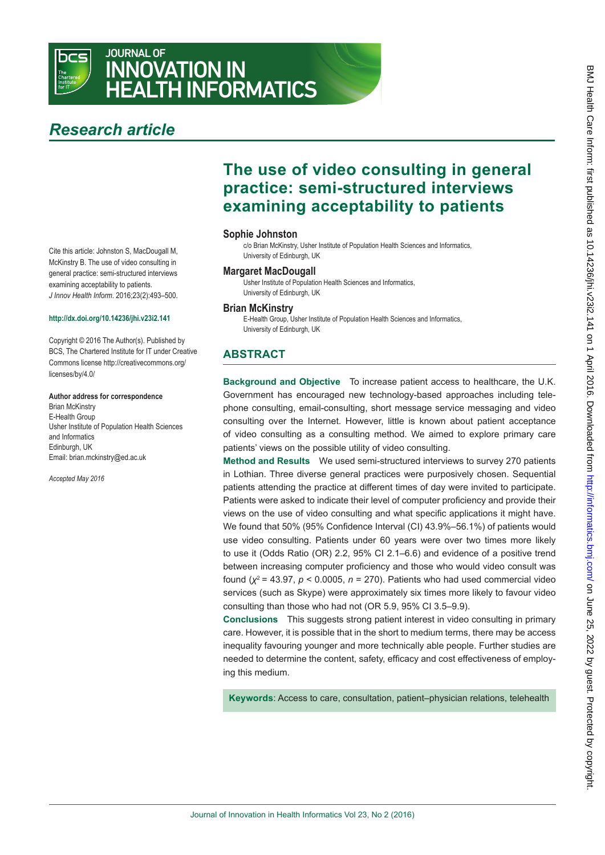

## JOURNAL OF INNOVATION IN HEALTH INFORMATICS

# *Research article*

Cite this article: Johnston S, MacDougall M, McKinstry B. The use of video consulting in general practice: semi-structured interviews examining acceptability to patients. *J Innov Health Inform*. 2016;23(2):493–500.

#### **<http://dx.doi.org/10.14236/jhi.v23i2.141>**

[Copyright © 2016 The Author\(s\). Published by](http://creativecommons.org/licenses/by/4.0/)  [BCS, The Chartered Institute for IT under Creative](http://creativecommons.org/licenses/by/4.0/)  [Commons license http://creativecommons.org/](http://creativecommons.org/licenses/by/4.0/) [licenses/by/4.0/](http://creativecommons.org/licenses/by/4.0/)

#### **Author address for correspondence**

Brian McKinstry E-Health Group Usher Institute of Population Health Sciences and Informatics Edinburgh, UK [Email: brian.mckinstry@ed.ac.uk](ac.uk)

*Accepted May 2016*

## **The use of video consulting in general practice: semi-structured interviews examining acceptability to patients**

#### **Sophie Johnston**

c/o Brian McKinstry, Usher Institute of Population Health Sciences and Informatics, University of Edinburgh, UK

#### **Margaret MacDougall**

Usher Institute of Population Health Sciences and Informatics, University of Edinburgh, UK

## **Brian McKinstry**

E-Health Group, Usher Institute of Population Health Sciences and Informatics, University of Edinburgh, UK

## **ABSTRACT**

**Background and Objective** To increase patient access to healthcare, the U.K. Government has encouraged new technology-based approaches including telephone consulting, email-consulting, short message service messaging and video consulting over the Internet. However, little is known about patient acceptance of video consulting as a consulting method. We aimed to explore primary care patients' views on the possible utility of video consulting.

**Method and Results** We used semi-structured interviews to survey 270 patients in Lothian. Three diverse general practices were purposively chosen. Sequential patients attending the practice at different times of day were invited to participate. Patients were asked to indicate their level of computer proficiency and provide their views on the use of video consulting and what specific applications it might have. We found that 50% (95% Confidence Interval (CI) 43.9%–56.1%) of patients would use video consulting. Patients under 60 years were over two times more likely to use it (Odds Ratio (OR) 2.2, 95% CI 2.1–6.6) and evidence of a positive trend between increasing computer proficiency and those who would video consult was found (*χ*<sup>2</sup> = 43.97, *p* < 0.0005, *n* = 270). Patients who had used commercial video services (such as Skype) were approximately six times more likely to favour video consulting than those who had not (OR 5.9, 95% CI 3.5–9.9).

**Conclusions** This suggests strong patient interest in video consulting in primary care. However, it is possible that in the short to medium terms, there may be access inequality favouring younger and more technically able people. Further studies are needed to determine the content, safety, efficacy and cost effectiveness of employing this medium.

**Keywords**: Access to care, consultation, patient–physician relations, telehealth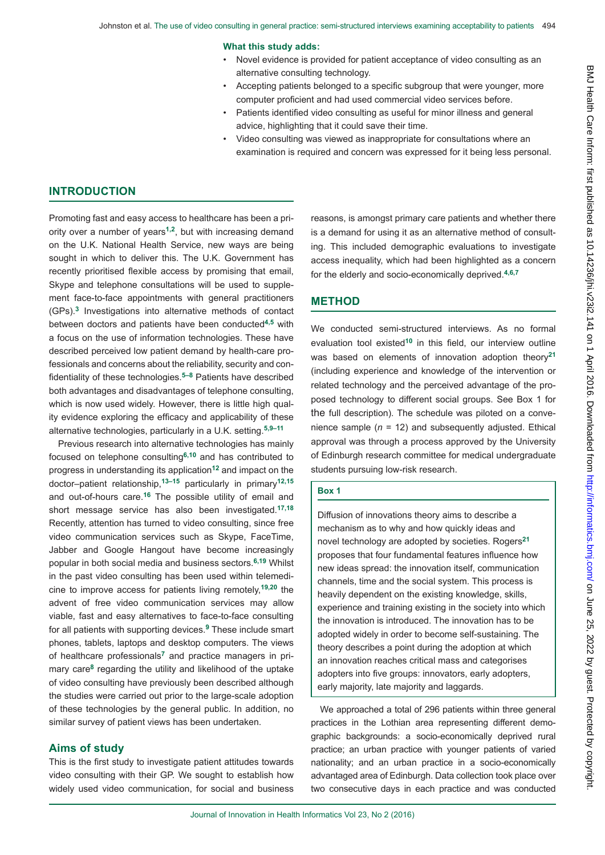#### **What this study adds:**

- Novel evidence is provided for patient acceptance of video consulting as an alternative consulting technology.
- Accepting patients belonged to a specific subgroup that were younger, more computer proficient and had used commercial video services before.
- Patients identified video consulting as useful for minor illness and general advice, highlighting that it could save their time.
- Video consulting was viewed as inappropriate for consultations where an examination is required and concern was expressed for it being less personal.

### **INTRODUCTION**

Promoting fast and easy access to healthcare has been a priority over a number of years**1,2**, but with increasing demand on the U.K. National Health Service, new ways are being sought in which to deliver this. The U.K. Government has recently prioritised flexible access by promising that email, Skype and telephone consultations will be used to supplement face-to-face appointments with general practitioners (GPs).**3** Investigations into alternative methods of contact between doctors and patients have been conducted**4,5** with a focus on the use of information technologies. These have described perceived low patient demand by health-care professionals and concerns about the reliability, security and confidentiality of these technologies.**5–8** Patients have described both advantages and disadvantages of telephone consulting, which is now used widely. However, there is little high quality evidence exploring the efficacy and applicability of these alternative technologies, particularly in a U.K. setting.**5,9–11**

Previous research into alternative technologies has mainly focused on telephone consulting**6,10** and has contributed to progress in understanding its application**12** and impact on the doctor–patient relationship,**13–15** particularly in primary**12,15** and out-of-hours care.**16** The possible utility of email and short message service has also been investigated.**17,18** Recently, attention has turned to video consulting, since free video communication services such as Skype, FaceTime, Jabber and Google Hangout have become increasingly popular in both social media and business sectors.**6,19** Whilst in the past video consulting has been used within telemedicine to improve access for patients living remotely,**19,20** the advent of free video communication services may allow viable, fast and easy alternatives to face-to-face consulting for all patients with supporting devices.**9** These include smart phones, tablets, laptops and desktop computers. The views of healthcare professionals**7** and practice managers in primary care**8** regarding the utility and likelihood of the uptake of video consulting have previously been described although the studies were carried out prior to the large-scale adoption of these technologies by the general public. In addition, no similar survey of patient views has been undertaken.

#### **Aims of study**

This is the first study to investigate patient attitudes towards video consulting with their GP. We sought to establish how widely used video communication, for social and business reasons, is amongst primary care patients and whether there is a demand for using it as an alternative method of consulting. This included demographic evaluations to investigate access inequality, which had been highlighted as a concern for the elderly and socio-economically deprived.**4,6,7**

#### **METHOD**

We conducted semi-structured interviews. As no formal evaluation tool existed**10** in this field, our interview outline was based on elements of innovation adoption theory**<sup>21</sup>** (including experience and knowledge of the intervention or related technology and the perceived advantage of the proposed technology to different social groups. See Box 1 for the full description). The schedule was piloted on a convenience sample (*n* = 12) and subsequently adjusted. Ethical approval was through a process approved by the University of Edinburgh research committee for medical undergraduate students pursuing low-risk research.

#### **Box 1**

Diffusion of innovations theory aims to describe a mechanism as to why and how quickly ideas and novel technology are adopted by societies. Rogers**<sup>21</sup>** proposes that four fundamental features influence how new ideas spread: the innovation itself, communication channels, time and the social system. This process is heavily dependent on the existing knowledge, skills, experience and training existing in the society into which the innovation is introduced. The innovation has to be adopted widely in order to become self-sustaining. The theory describes a point during the adoption at which an innovation reaches critical mass and categorises adopters into five groups: innovators, early adopters, early majority, late majority and laggards.

We approached a total of 296 patients within three general practices in the Lothian area representing different demographic backgrounds: a socio-economically deprived rural practice; an urban practice with younger patients of varied nationality; and an urban practice in a socio-economically advantaged area of Edinburgh. Data collection took place over two consecutive days in each practice and was conducted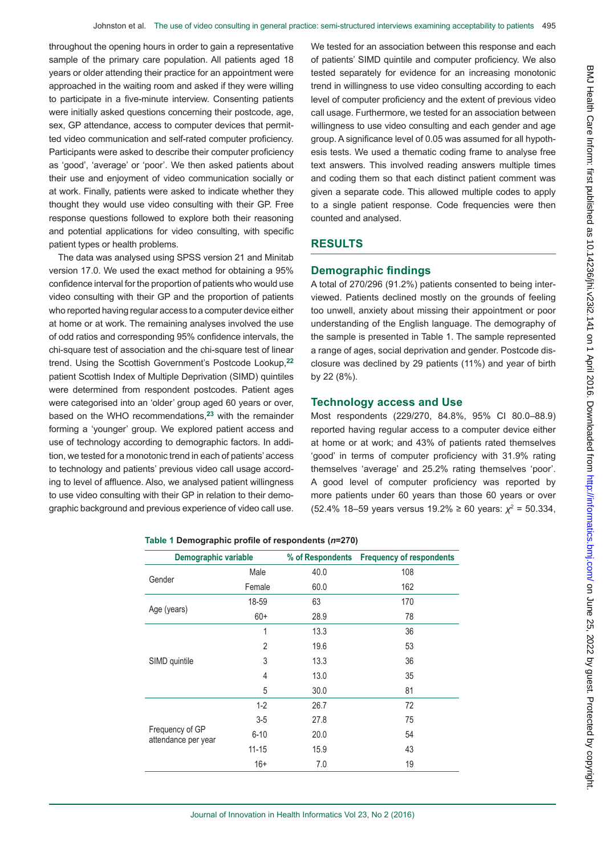throughout the opening hours in order to gain a representative sample of the primary care population. All patients aged 18 years or older attending their practice for an appointment were approached in the waiting room and asked if they were willing to participate in a five-minute interview. Consenting patients were initially asked questions concerning their postcode, age, sex, GP attendance, access to computer devices that permitted video communication and self-rated computer proficiency. Participants were asked to describe their computer proficiency as 'good', 'average' or 'poor'. We then asked patients about their use and enjoyment of video communication socially or at work. Finally, patients were asked to indicate whether they thought they would use video consulting with their GP. Free response questions followed to explore both their reasoning and potential applications for video consulting, with specific patient types or health problems.

The data was analysed using SPSS version 21 and Minitab version 17.0. We used the exact method for obtaining a 95% confidence interval for the proportion of patients who would use video consulting with their GP and the proportion of patients who reported having regular access to a computer device either at home or at work. The remaining analyses involved the use of odd ratios and corresponding 95% confidence intervals, the chi-square test of association and the chi-square test of linear trend. Using the Scottish Government's Postcode Lookup,**<sup>22</sup>** patient Scottish Index of Multiple Deprivation (SIMD) quintiles were determined from respondent postcodes. Patient ages were categorised into an 'older' group aged 60 years or over, based on the WHO recommendations,**23** with the remainder forming a 'younger' group. We explored patient access and use of technology according to demographic factors. In addition, we tested for a monotonic trend in each of patients' access to technology and patients' previous video call usage according to level of affluence. Also, we analysed patient willingness to use video consulting with their GP in relation to their demographic background and previous experience of video call use.

We tested for an association between this response and each of patients' SIMD quintile and computer proficiency. We also tested separately for evidence for an increasing monotonic trend in willingness to use video consulting according to each level of computer proficiency and the extent of previous video call usage. Furthermore, we tested for an association between willingness to use video consulting and each gender and age group. A significance level of 0.05 was assumed for all hypothesis tests. We used a thematic coding frame to analyse free text answers. This involved reading answers multiple times and coding them so that each distinct patient comment was given a separate code. This allowed multiple codes to apply to a single patient response. Code frequencies were then counted and analysed.

## **RESULTS**

## **Demographic findings**

A total of 270/296 (91.2%) patients consented to being interviewed. Patients declined mostly on the grounds of feeling too unwell, anxiety about missing their appointment or poor understanding of the English language. The demography of the sample is presented in Table 1. The sample represented a range of ages, social deprivation and gender. Postcode disclosure was declined by 29 patients (11%) and year of birth by 22 (8%).

## **Technology access and Use**

Most respondents (229/270, 84.8%, 95% CI 80.0–88.9) reported having regular access to a computer device either at home or at work; and 43% of patients rated themselves 'good' in terms of computer proficiency with 31.9% rating themselves 'average' and 25.2% rating themselves 'poor'. A good level of computer proficiency was reported by more patients under 60 years than those 60 years or over (52.4% 18–59 years versus 19.2% ≥ 60 years: *χ*<sup>2</sup> = 50.334,

|  | Table 1 Demographic profile of respondents (n=270) |  |  |  |
|--|----------------------------------------------------|--|--|--|
|--|----------------------------------------------------|--|--|--|

| Demographic variable                   |                | % of Respondents | <b>Frequency of respondents</b> |
|----------------------------------------|----------------|------------------|---------------------------------|
| Gender                                 | Male           | 40.0             | 108                             |
|                                        | Female         | 60.0             | 162                             |
|                                        | 18-59          | 63               | 170                             |
| Age (years)                            | $60+$          | 28.9             | 78                              |
|                                        | 1              | 13.3             | 36                              |
|                                        | $\overline{2}$ | 19.6             | 53                              |
| SIMD quintile                          | 3              | 13.3             | 36                              |
|                                        | 4              | 13.0             | 35                              |
|                                        | 5              | 30.0             | 81                              |
|                                        | $1-2$          | 26.7             | 72                              |
|                                        | $3-5$          | 27.8             | 75                              |
| Frequency of GP<br>attendance per year | $6 - 10$       | 20.0             | 54                              |
|                                        | $11 - 15$      | 15.9             | 43                              |
|                                        | $16+$          | 7.0              | 19                              |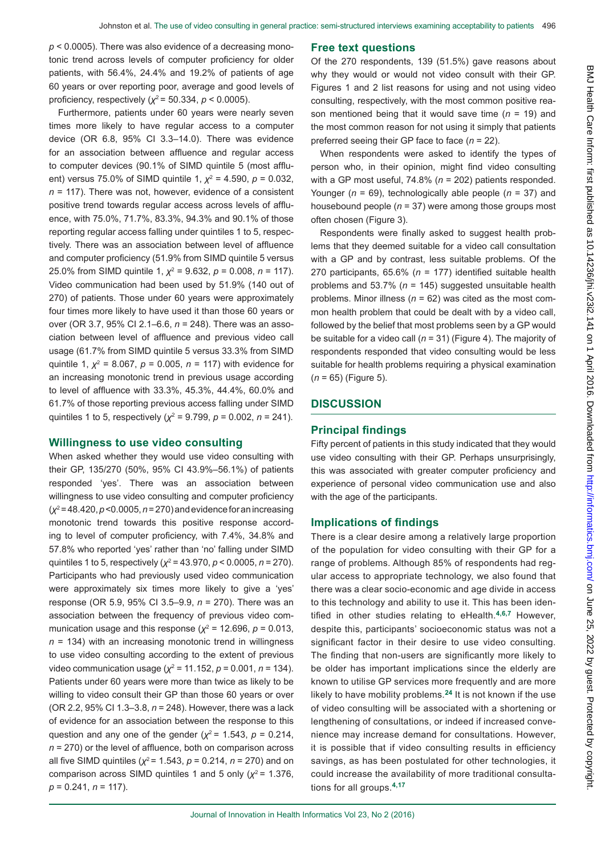*p* < 0.0005). There was also evidence of a decreasing monotonic trend across levels of computer proficiency for older patients, with 56.4%, 24.4% and 19.2% of patients of age 60 years or over reporting poor, average and good levels of proficiency, respectively (*χ*<sup>2</sup>= 50.334, *p* < 0.0005).

Furthermore, patients under 60 years were nearly seven times more likely to have regular access to a computer device (OR 6.8, 95% CI 3.3–14.0). There was evidence for an association between affluence and regular access to computer devices (90.1% of SIMD quintile 5 (most affluent) versus 75.0% of SIMD quintile 1,  $\chi^2$  = 4.590, *p* = 0.032, *n* = 117). There was not, however, evidence of a consistent positive trend towards regular access across levels of affluence, with 75.0%, 71.7%, 83.3%, 94.3% and 90.1% of those reporting regular access falling under quintiles 1 to 5, respectively. There was an association between level of affluence and computer proficiency (51.9% from SIMD quintile 5 versus 25.0% from SIMD quintile 1, *χ*<sup>2</sup> = 9.632, *p* = 0.008, *n* = 117). Video communication had been used by 51.9% (140 out of 270) of patients. Those under 60 years were approximately four times more likely to have used it than those 60 years or over (OR 3.7, 95% CI 2.1–6.6, *n* = 248). There was an association between level of affluence and previous video call usage (61.7% from SIMD quintile 5 versus 33.3% from SIMD quintile 1, *χ*<sup>2</sup> = 8.067, *p* = 0.005, *n* = 117) with evidence for an increasing monotonic trend in previous usage according to level of affluence with 33.3%, 45.3%, 44.4%, 60.0% and 61.7% of those reporting previous access falling under SIMD quintiles 1 to 5, respectively (*χ*<sup>2</sup> = 9.799, *p* = 0.002, *n* = 241).

#### **Willingness to use video consulting**

When asked whether they would use video consulting with their GP, 135/270 (50%, 95% CI 43.9%–56.1%) of patients responded 'yes'. There was an association between willingness to use video consulting and computer proficiency (*χ*<sup>2</sup> = 48.420, *p* <0.0005, *n* = 270) and evidence for an increasing monotonic trend towards this positive response according to level of computer proficiency, with 7.4%, 34.8% and 57.8% who reported 'yes' rather than 'no' falling under SIMD quintiles 1 to 5, respectively (*χ*<sup>2</sup> = 43.970, *p* < 0.0005, *n* = 270). Participants who had previously used video communication were approximately six times more likely to give a 'yes' response (OR 5.9, 95% CI 3.5–9.9, *n* = 270). There was an association between the frequency of previous video communication usage and this response ( $\chi^2$  = 12.696,  $\rho$  = 0.013, *n* = 134) with an increasing monotonic trend in willingness to use video consulting according to the extent of previous video communication usage (*χ*<sup>2</sup> = 11.152, *p* = 0.001, *n* = 134). Patients under 60 years were more than twice as likely to be willing to video consult their GP than those 60 years or over (OR 2.2, 95% CI 1.3–3.8, *n* = 248). However, there was a lack of evidence for an association between the response to this question and any one of the gender  $(x^2 = 1.543, p = 0.214,$ *n* = 270) or the level of affluence, both on comparison across all five SIMD quintiles ( $\chi^2$  = 1.543,  $p$  = 0.214,  $n$  = 270) and on comparison across SIMD quintiles 1 and 5 only  $(x^2 = 1.376)$ , *p* = 0.241, *n* = 117).

#### **Free text questions**

Of the 270 respondents, 139 (51.5%) gave reasons about why they would or would not video consult with their GP. Figures 1 and 2 list reasons for using and not using video consulting, respectively, with the most common positive reason mentioned being that it would save time (*n* = 19) and the most common reason for not using it simply that patients preferred seeing their GP face to face (*n* = 22).

When respondents were asked to identify the types of person who, in their opinion, might find video consulting with a GP most useful, 74.8% (*n* = 202) patients responded. Younger (*n* = 69), technologically able people (*n* = 37) and housebound people (*n* = 37) were among those groups most often chosen (Figure 3).

Respondents were finally asked to suggest health problems that they deemed suitable for a video call consultation with a GP and by contrast, less suitable problems. Of the 270 participants, 65.6% (*n* = 177) identified suitable health problems and 53.7% (*n* = 145) suggested unsuitable health problems. Minor illness (*n* = 62) was cited as the most common health problem that could be dealt with by a video call, followed by the belief that most problems seen by a GP would be suitable for a video call (*n* = 31) (Figure 4). The majority of respondents responded that video consulting would be less suitable for health problems requiring a physical examination (*n* = 65) (Figure 5).

## **DISCUSSION**

## **Principal findings**

Fifty percent of patients in this study indicated that they would use video consulting with their GP. Perhaps unsurprisingly, this was associated with greater computer proficiency and experience of personal video communication use and also with the age of the participants.

#### **Implications of findings**

There is a clear desire among a relatively large proportion of the population for video consulting with their GP for a range of problems. Although 85% of respondents had regular access to appropriate technology, we also found that there was a clear socio-economic and age divide in access to this technology and ability to use it. This has been identified in other studies relating to eHealth.**4,6,7** However, despite this, participants' socioeconomic status was not a significant factor in their desire to use video consulting. The finding that non-users are significantly more likely to be older has important implications since the elderly are known to utilise GP services more frequently and are more likely to have mobility problems.**24** It is not known if the use of video consulting will be associated with a shortening or lengthening of consultations, or indeed if increased convenience may increase demand for consultations. However, it is possible that if video consulting results in efficiency savings, as has been postulated for other technologies, it could increase the availability of more traditional consultations for all groups.**4,17**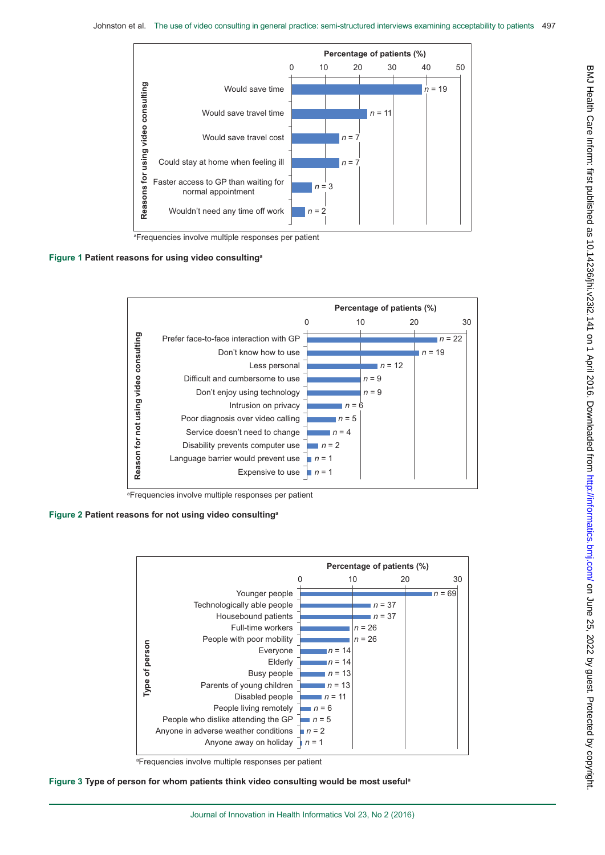

a Frequencies involve multiple responses per patient

#### **Figure 1 Patient reasons for using video consultinga**



a Frequencies involve multiple responses per patient

#### **Figure 2 Patient reasons for not using video consultinga**



a Frequencies involve multiple responses per patient



BMJ Health Care Inform: first published as 10.14236/jhi.v23i2.141 on 1 April 2016. Downloaded from <http://informatics.bmj.com/> on June 25, 2022 by guest. Protected by copyright.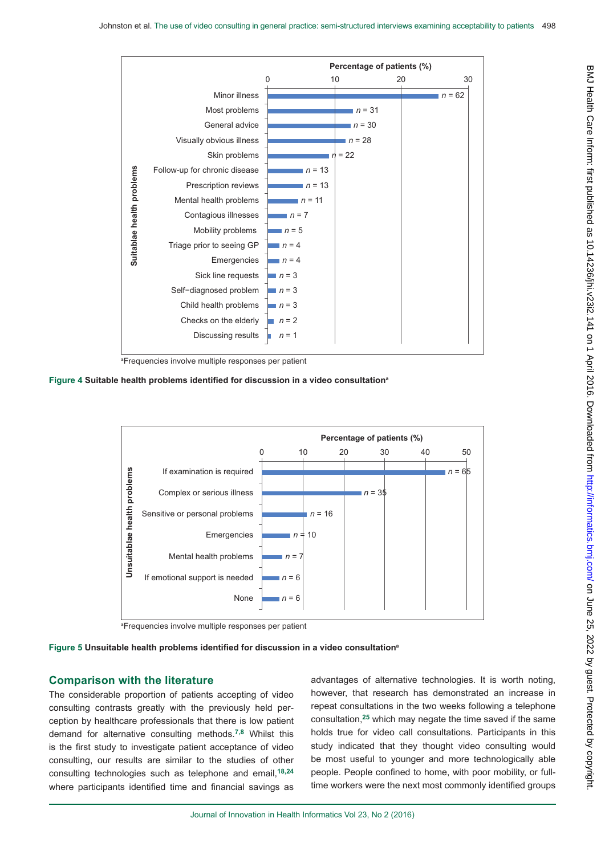

a Frequencies involve multiple responses per patient

**Figure 4 Suitable health problems identified for discussion in a video consultation<sup>a</sup>**



a Frequencies involve multiple responses per patient

**Figure 5 Unsuitable health problems identified for discussion in a video consultation<sup>a</sup>**

## **Comparison with the literature**

The considerable proportion of patients accepting of video consulting contrasts greatly with the previously held perception by healthcare professionals that there is low patient demand for alternative consulting methods.**7,8** Whilst this is the first study to investigate patient acceptance of video consulting, our results are similar to the studies of other consulting technologies such as telephone and email,**18,24**  where participants identified time and financial savings as advantages of alternative technologies. It is worth noting, however, that research has demonstrated an increase in repeat consultations in the two weeks following a telephone consultation,**25** which may negate the time saved if the same holds true for video call consultations. Participants in this study indicated that they thought video consulting would be most useful to younger and more technologically able people. People confined to home, with poor mobility, or fulltime workers were the next most commonly identified groups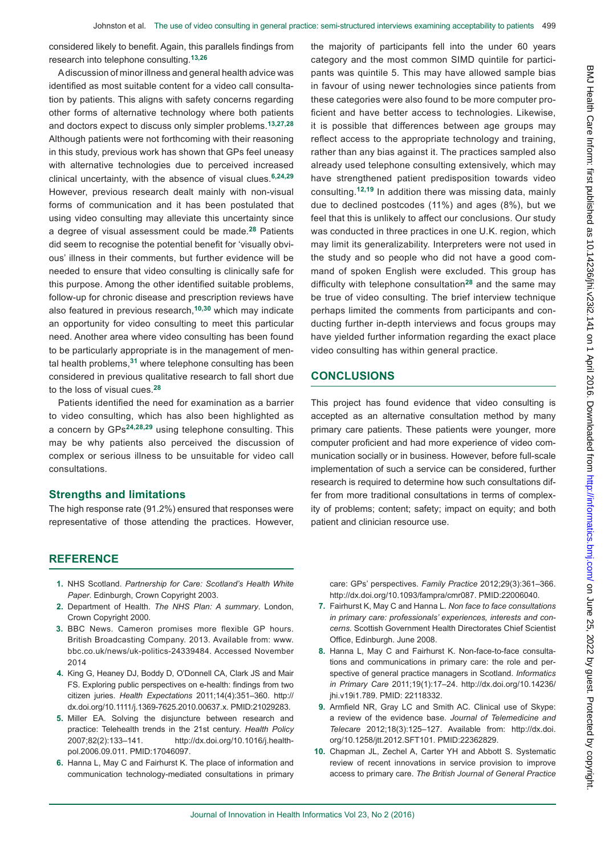considered likely to benefit. Again, this parallels findings from research into telephone consulting.**13,26**

A discussion of minor illness and general health advice was identified as most suitable content for a video call consultation by patients. This aligns with safety concerns regarding other forms of alternative technology where both patients and doctors expect to discuss only simpler problems.**13,27,28** Although patients were not forthcoming with their reasoning in this study, previous work has shown that GPs feel uneasy with alternative technologies due to perceived increased clinical uncertainty, with the absence of visual clues.**6,24,29** However, previous research dealt mainly with non-visual forms of communication and it has been postulated that using video consulting may alleviate this uncertainty since a degree of visual assessment could be made.**28** Patients did seem to recognise the potential benefit for 'visually obvious' illness in their comments, but further evidence will be needed to ensure that video consulting is clinically safe for this purpose. Among the other identified suitable problems, follow-up for chronic disease and prescription reviews have also featured in previous research,**10,30** which may indicate an opportunity for video consulting to meet this particular need. Another area where video consulting has been found to be particularly appropriate is in the management of mental health problems,**31** where telephone consulting has been considered in previous qualitative research to fall short due to the loss of visual cues.**<sup>28</sup>**

Patients identified the need for examination as a barrier to video consulting, which has also been highlighted as a concern by GPs**24,28,29** using telephone consulting. This may be why patients also perceived the discussion of complex or serious illness to be unsuitable for video call consultations.

### **Strengths and limitations**

The high response rate (91.2%) ensured that responses were representative of those attending the practices. However, the majority of participants fell into the under 60 years category and the most common SIMD quintile for participants was quintile 5. This may have allowed sample bias in favour of using newer technologies since patients from these categories were also found to be more computer proficient and have better access to technologies. Likewise, it is possible that differences between age groups may reflect access to the appropriate technology and training, rather than any bias against it. The practices sampled also already used telephone consulting extensively, which may have strengthened patient predisposition towards video consulting.**12,19** In addition there was missing data, mainly due to declined postcodes (11%) and ages (8%), but we feel that this is unlikely to affect our conclusions. Our study was conducted in three practices in one U.K. region, which may limit its generalizability. Interpreters were not used in the study and so people who did not have a good command of spoken English were excluded. This group has difficulty with telephone consultation**28** and the same may be true of video consulting. The brief interview technique perhaps limited the comments from participants and conducting further in-depth interviews and focus groups may have yielded further information regarding the exact place video consulting has within general practice.

## **CONCLUSIONS**

This project has found evidence that video consulting is accepted as an alternative consultation method by many primary care patients. These patients were younger, more computer proficient and had more experience of video communication socially or in business. However, before full-scale implementation of such a service can be considered, further research is required to determine how such consultations differ from more traditional consultations in terms of complexity of problems; content; safety; impact on equity; and both patient and clinician resource use.

## **REFERENCE**

- **1.** NHS Scotland. *Partnership for Care: Scotland's Health White Paper*. Edinburgh, Crown Copyright 2003.
- **2.** Department of Health. *The NHS Plan: A summary*. London, Crown Copyright 2000.
- **3.** [BBC News. Cameron promises more flexible GP hours.](www.bbc.co.uk/news/uk-politics-24339484) [British Broadcasting Company. 2013. Available from: www.](www.bbc.co.uk/news/uk-politics-24339484) [bbc.co.uk/news/uk-politics-24339484](www.bbc.co.uk/news/uk-politics-24339484). Accessed November [2014](www.bbc.co.uk/news/uk-politics-24339484)
- **4.** [King G, Heaney DJ, Boddy D, O'Donnell CA, Clark JS and Mair](http://dx.doi.org/10.1111/j.1369-7625.2010.00637.x) [FS. Exploring public perspectives on e-health: findings from two](http://dx.doi.org/10.1111/j.1369-7625.2010.00637.x) citizen juries. *Health Expectations* [2011;14\(4\):351–360. http://](http://dx.doi.org/10.1111/j.1369-7625.2010.00637.x) [dx.doi.org/10.1111/j.1369-7625.2010.00637.x. PMID:21029283.](http://dx.doi.org/10.1111/j.1369-7625.2010.00637.x)
- **5.** [Miller EA. Solving the disjuncture between research and](http://dx.doi.org/10.1016/j.healthpol.2006.09.011) [practice: Telehealth trends in the 21st century.](http://dx.doi.org/10.1016/j.healthpol.2006.09.011) *Health Policy* [2007;82\(2\):133–141. http://dx.doi.org/10.1016/j.health](http://dx.doi.org/10.1016/j.healthpol.2006.09.011)[pol.2006.09.011. PMID:17046097.](http://dx.doi.org/10.1016/j.healthpol.2006.09.011)
- **6.** [Hanna L, May C and Fairhurst K. The place of information and](http://dx.doi.org/10.1093/fampra/cmr087) [communication technology-mediated consultations in primary](http://dx.doi.org/10.1093/fampra/cmr087)

[care: GPs' perspectives.](http://dx.doi.org/10.1093/fampra/cmr087) *Family Practice* 2012;29(3):361–366. [http://dx.doi.org/10.1093/fampra/cmr087. PMID:22006040.](http://dx.doi.org/10.1093/fampra/cmr087)

- **7.** Fairhurst K, May C and Hanna L. *Non face to face consultations in primary care: professionals' experiences, interests and concerns*. Scottish Government Health Directorates Chief Scientist Office, Edinburgh. June 2008.
- **8.** [Hanna L, May C and Fairhurst K. Non-face-to-face consulta](http://dx.doi.org/10.14236/jhi.v19i1.789)[tions and communications in primary care: the role and per](http://dx.doi.org/10.14236/jhi.v19i1.789)[spective of general practice managers in Scotland.](http://dx.doi.org/10.14236/jhi.v19i1.789) *Informatics in Primary Care* [2011;19\(1\):17–24. http://dx.doi.org/10.14236/](http://dx.doi.org/10.14236/jhi.v19i1.789) [jhi.v19i1.789. PMID: 22118332.](http://dx.doi.org/10.14236/jhi.v19i1.789)
- **9.** [Armfield NR, Gray LC and Smith AC. Clinical use of Skype:](http://dx.doi.org/10.1258/jtt.2012.SFT101) [a review of the evidence base.](http://dx.doi.org/10.1258/jtt.2012.SFT101) *Journal of Telemedicine and Telecare* [2012;18\(3\):125–127. Available from:](http://dx.doi.org/10.1258/jtt.2012.SFT101) http://dx.doi. [org/10.1258/jtt.2012.SFT101. PMID:22362829.](http://dx.doi.org/10.1258/jtt.2012.SFT101)
- **10.** [Chapman JL, Zechel A, Carter YH and Abbott S. Systematic](http://www.ncbi.nlm.nih.gov/pmc/articles/) [review of recent innovations in service provision to improve](http://www.ncbi.nlm.nih.gov/pmc/articles/) access to primary care. *[The British Journal of General Practice](http://www.ncbi.nlm.nih.gov/pmc/articles/)*